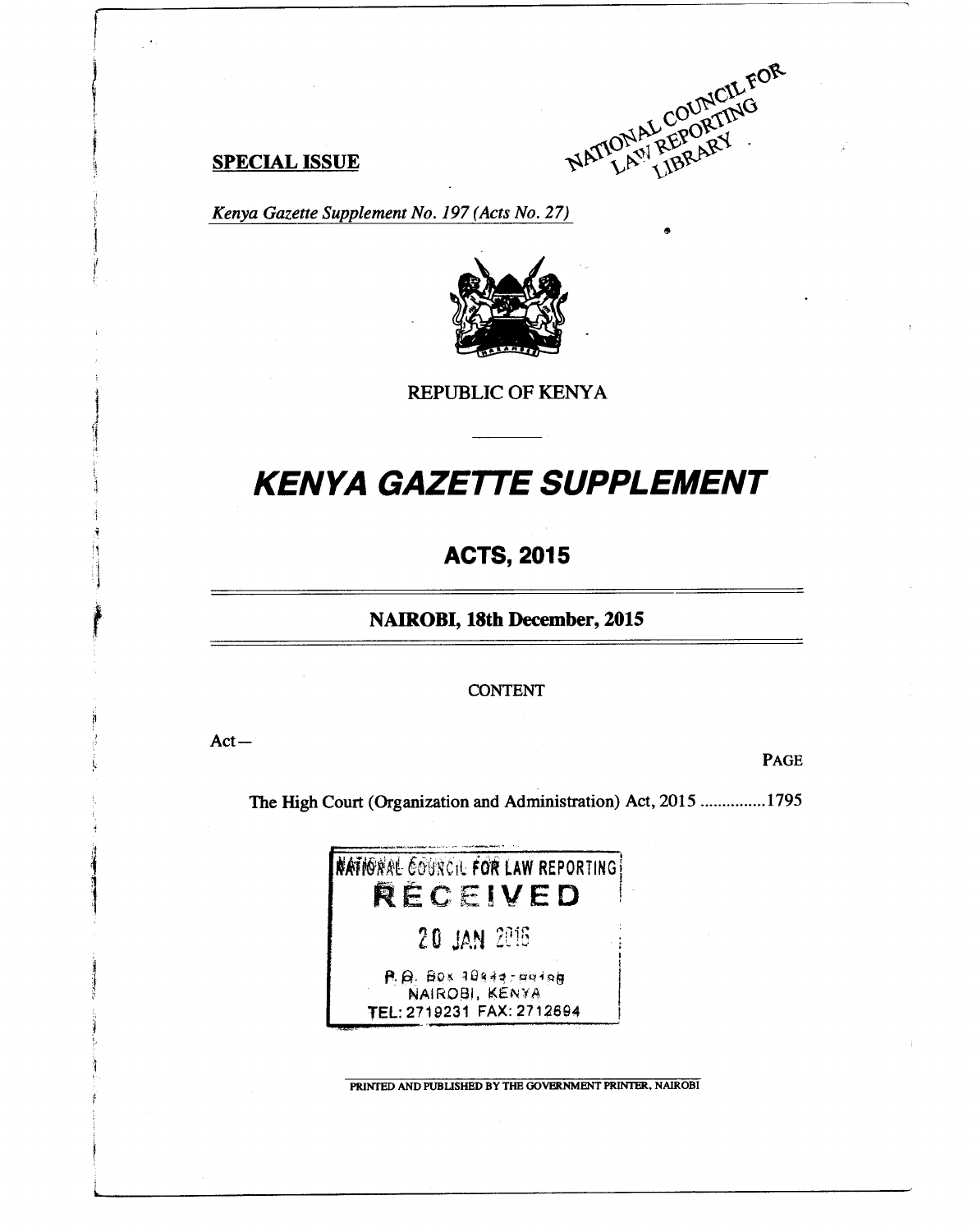

*Kenya Gazette Supplement No. 197 (Acts No. 27)* 



**REPUBLIC OF KENYA** 

# *KENYA GAZETTE SUPPLEMENT*

# **ACTS, 2015**

**NAIROBI, 18th December, 2015** 

CONTENT

Act—

PAGE

The High Court (Organization and Administration) Act, 2015 ...............1795



**PRINTED AND PUBLISHED BY THE GOVERNMENT PRINTER. NAIROBI**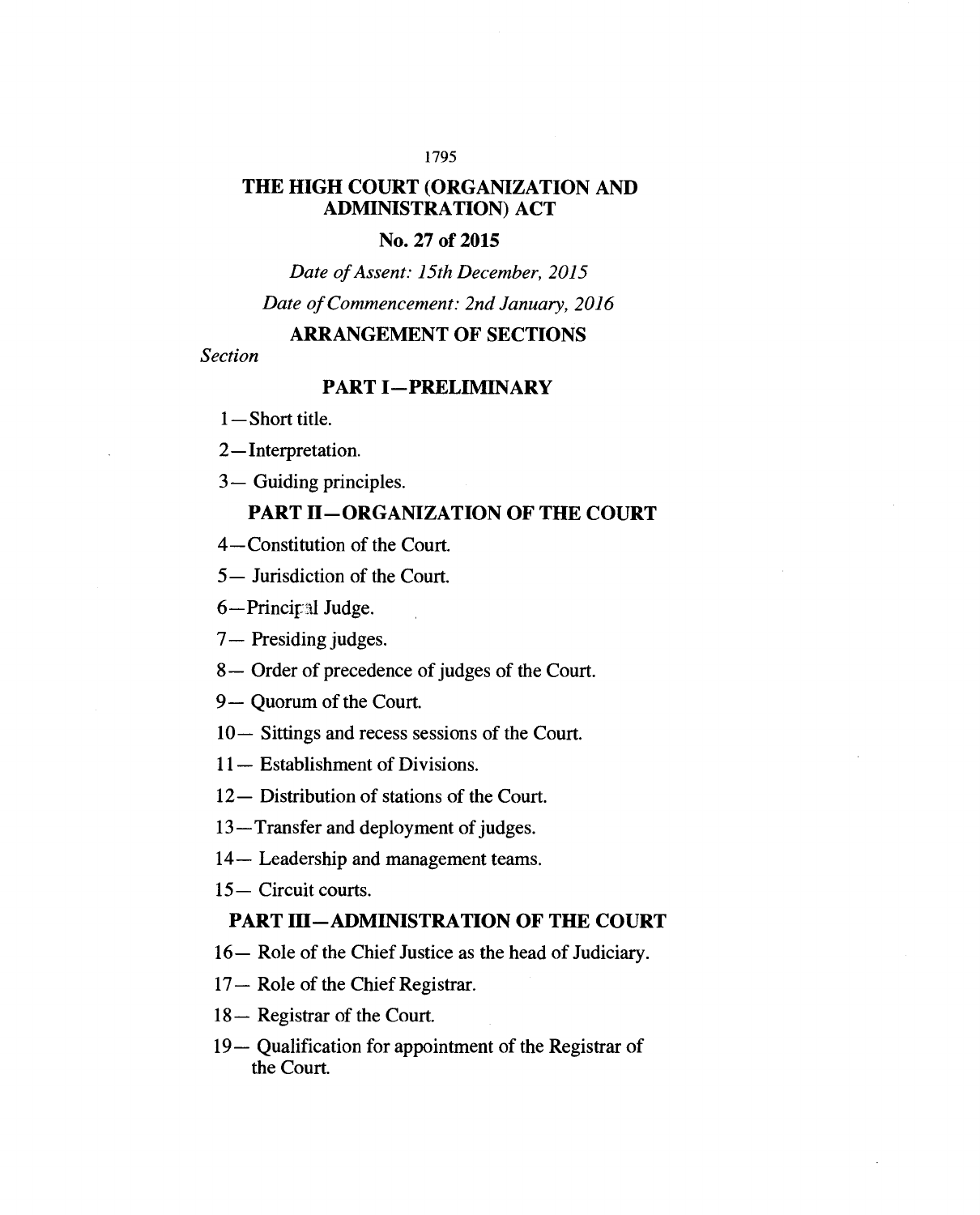#### 1795

# **THE HIGH COURT (ORGANIZATION AND ADMINISTRATION) ACT**

### **No. 27 of 2015**

*Date of Assent: 15th December, 2015 Date of Commencement: 2nd January, 2016* 

### **ARRANGEMENT OF SECTIONS**

*Section* 

# **PART I—PRELIMINARY**

1— Short title.

2—Interpretation.

3— Guiding principles.

### **PART H—ORGANIZATION OF THE COURT**

4—Constitution of the Court.

5 — Jurisdiction of the Court.

6-Principal Judge.

7— Presiding judges.

8— Order of precedence of judges of the Court.

9— Quorum of the Court.

10— Sittings and recess sessions of the Court.

11—Establishment of Divisions.

12— Distribution of stations of the Court.

13—Transfer and deployment of judges.

14—Leadership and management teams.

15—Circuit courts.

#### **PART III—ADMINISTRATION OF THE COURT**

16—Role of the Chief Justice as the head of Judiciary.

17—Role of the Chief Registrar.

18—Registrar of the Court.

19— Qualification for appointment of the Registrar of the Court.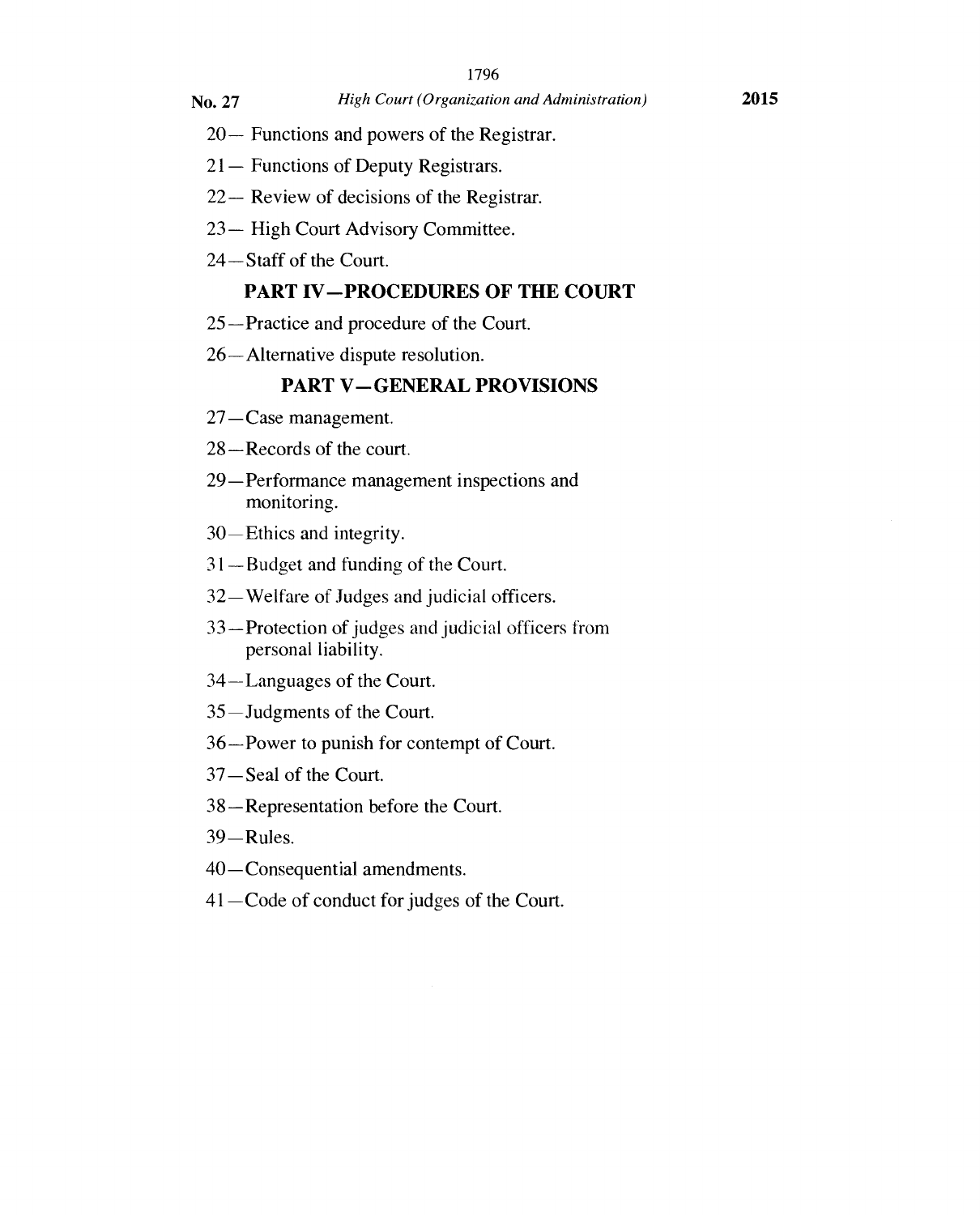- 20—Functions and powers of the Registrar.
- 21—Functions of Deputy Registrars.
- 22—Review of decisions of the Registrar.
- 23— High Court Advisory Committee.
- 24—Staff of the Court.

# **PART IV—PROCEDURES OF THE COURT**

- 25—Practice and procedure of the Court.
- 26—Alternative dispute resolution.

#### **PART V—GENERAL PROVISIONS**

- 27—Case management.
- 28—Records of the court.
- 29—Performance management inspections and monitoring.
- 30—Ethics and integrity.
- 31—Budget and funding of the Court.
- 32—Welfare of Judges and judicial officers.
- 33—Protection of judges and judicial officers from personal liability.
- 34—Languages of the Court.
- 35—Judgments of the Court.
- 36—Power to punish for contempt of Court.
- 37—Seal of the Court.
- 38—Representation before the Court.
- 39—Rules.
- 40—Consequential amendments.
- 41—Code of conduct for judges of the Court.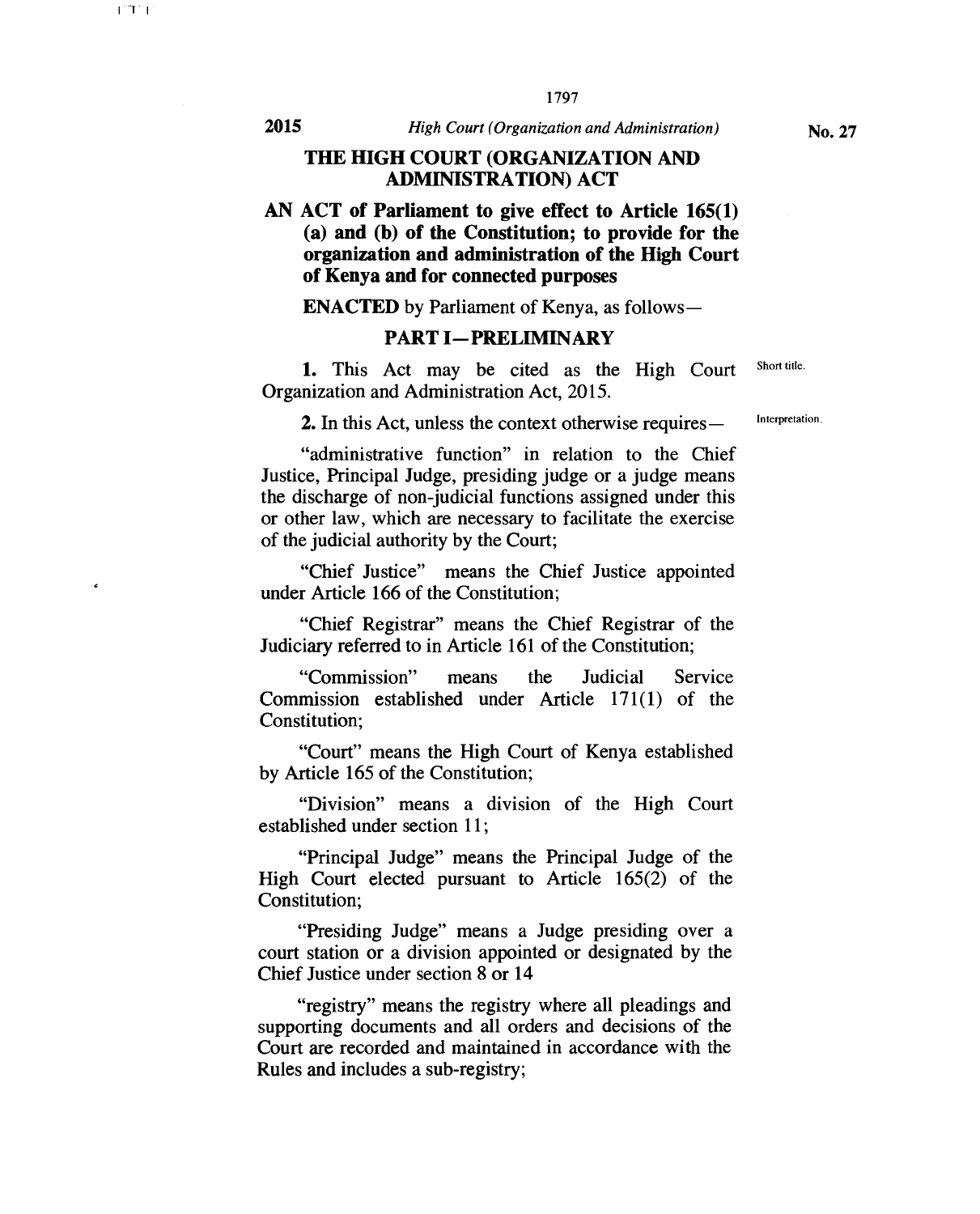#### **THE HIGH COURT (ORGANIZATION AND ADMINISTRATION) ACT**

# **AN ACT of Parliament to give effect to Article 165(1) (a) and (b) of the Constitution; to provide for the organization and administration of the High Court of Kenya and for connected purposes**

**ENACTED** by Parliament of Kenya, as follows **—** 

#### **PART I—PRELIMINARY**

1. This Act may be cited as the High Court Short title. Organization and Administration Act, 2015.

2. In this Act, unless the context otherwise requires —

"administrative function" in relation to the Chief Justice, Principal Judge, presiding judge or a judge means the discharge of non judicial functions assigned under this or other law, which are necessary to facilitate the exercise of the judicial authority by the Court;

"Chief Justice" means the Chief Justice appointed under Article 166 of the Constitution;

"Chief Registrar" means the Chief Registrar of the Judiciary referred to in Article 161 of the Constitution;

"Commission" means the Judicial Service Commission established under Article 171(1) of the Constitution;

"Court" means the High Court of Kenya established by Article 165 of the Constitution;

"Division" means a division of the High Court established under section 11;

"Principal Judge" means the Principal Judge of the High Court elected pursuant to Article 165(2) of the Constitution;

"Presiding Judge" means a Judge presiding over a court station or a division appointed or designated by the Chief Justice under section 8 or 14

"registry" means the registry where all pleadings and supporting documents and all orders and decisions of the Court are recorded and maintained in accordance with the Rules and includes a sub-registry;

Interpretation.

.,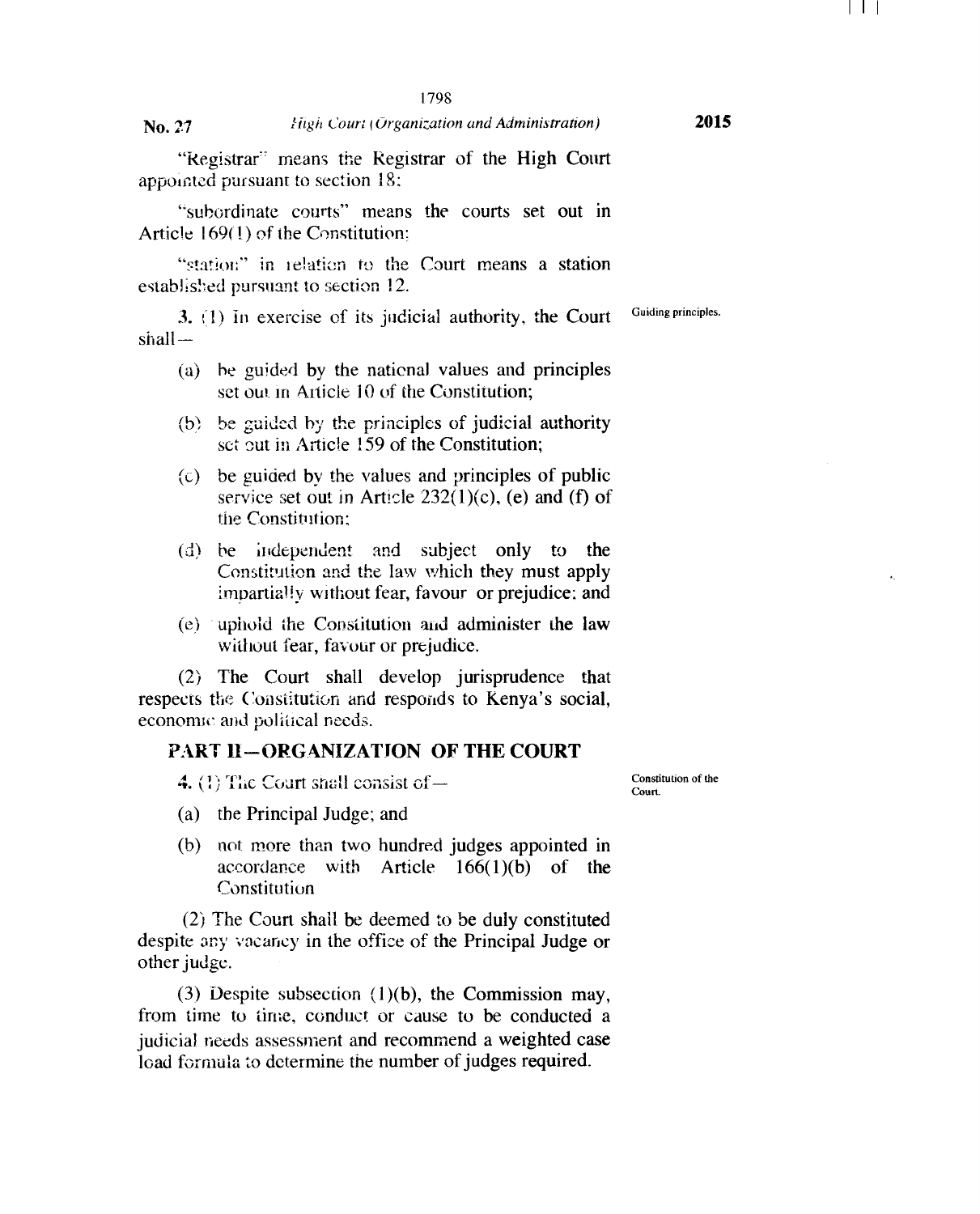"Registrar' means the Registrar of the High Court appointed pursuant to section 18;

"subordinate courts" means the courts set out in Article 169(1) of the Constitution;

"station" in relation to the Court means a station established pursuant to section 12.

3. (1) In exercise of its judicial authority, the Court Guiding principles. shall-

- (a) he guided by the national values and principles set out in Article 10 of the Constitution;
- (b) he guided by the principles of judicial authority set out in Article 159 of the Constitution;
- $\left( c \right)$  be guided by the values and principles of public service set out in Article  $232(1)(c)$ , (e) and (f) of the Constitution.;
- (d) be independent and subject only to the Constitution and the law which they must apply impartially without fear, favour or prejudice; and
- $(e)$  uphold the Constitution and administer the law without fear, favour or prejudice.

(2) The Court shall develop jurisprudence that respects the Constitution and responds to Kenya's social, economic and political needs.

#### **PART II—ORGANIZATION OF THE COURT**

**4. (1)** The Court shall consist of —

Constitution of the Court.

- (a) the Principal Judge; and
- (b) not more than two hundred judges appointed in accordance with Article 166(1)(b) of the Constitution

(2) The Court shall be deemed to be duly constituted despite any vacancy in the office of the Principal Judge or other judge.

(3) Despite subsection (1)(b), the Commission may, from time to time, conduct or cause to be conducted a judicial needs assessment and recommend a weighted case load formula to determine the number of judges required.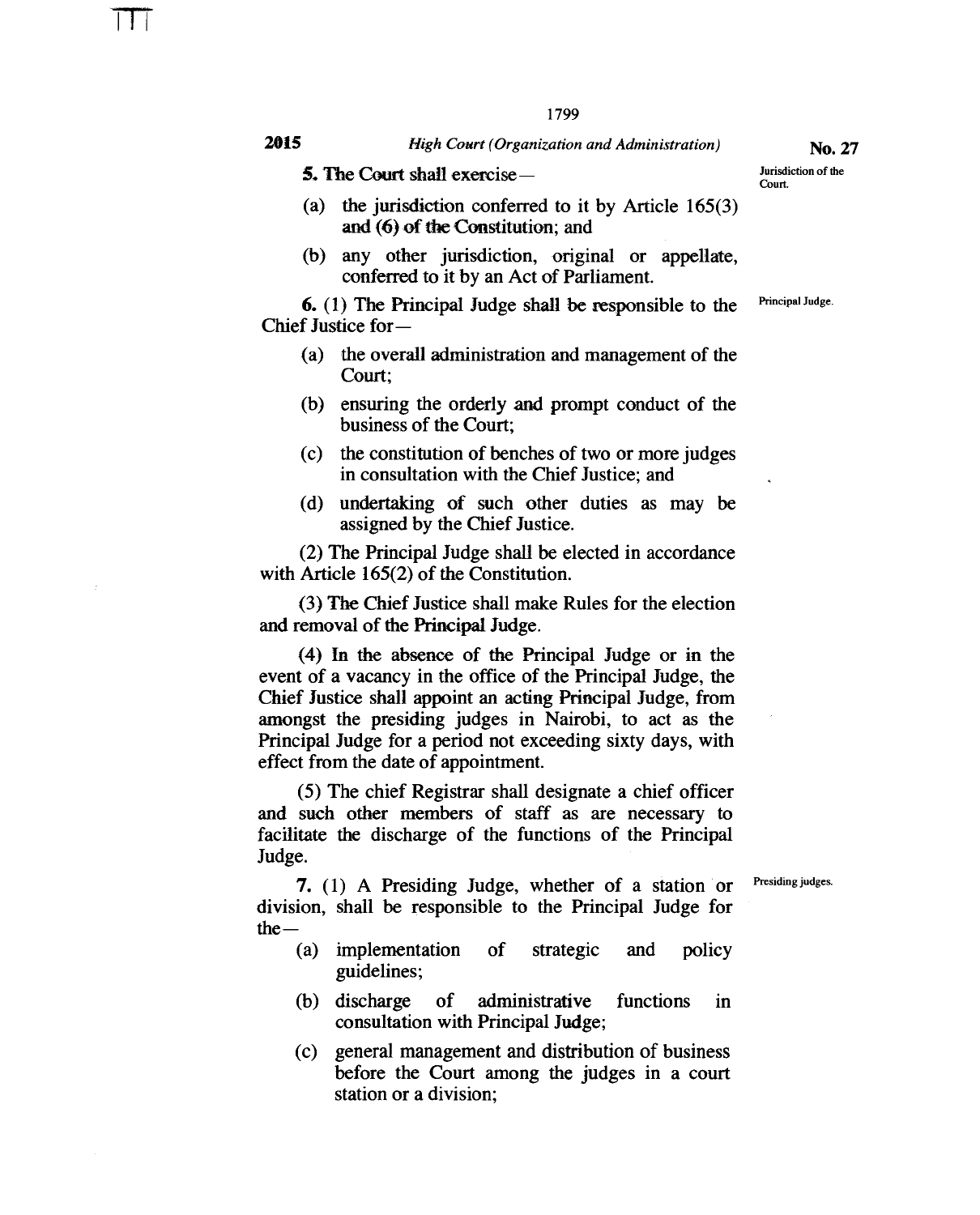**5. The Court shall exercise—** 

- (a) the jurisdiction conferred to it by Article 165(3) and (6) of the Constitution; and
- (b) any other jurisdiction, original or appellate, conferred to it by an Act of Parliament.

6. (1) The Principal Judge shall be responsible to the Chief Justice for —

- (a) the overall administration and management of the Court;
- (b) ensuring the orderly and prompt conduct of the business of the Court;
- (c) the constitution of benches of two or more judges in consultation with the Chief Justice; and
- (d) undertaking of such other duties as may be assigned by the Chief Justice.

(2) The Principal Judge shall be elected in accordance with Article 165(2) of the Constitution.

(3) The Chief Justice shall make Rules for the election and removal of the Principal Judge.

(4) In the absence of the Principal Judge or in the event of a vacancy in the office of the Principal Judge, the Chief Justice shall appoint an acting Principal Judge, from amongst the presiding judges in Nairobi, to act as the Principal Judge for a period not exceeding sixty days, with effect from the date of appointment.

(5) The chief Registrar shall designate a chief officer and such other members of staff as are necessary to facilitate the discharge of the functions of the Principal Judge.

Presiding judges.

**7.** (1) A Presiding Judge, whether of a station or division, shall be responsible to the Principal Judge for  $the -$ 

- (a) implementation of strategic and policy guidelines;
- (b) discharge of administrative functions in consultation with Principal Judge;
- (c) general management and distribution of business before the Court among the judges in a court station or a division;

**No. 27** 

Jurisdiction of the Court.

Principal Judge.

TTT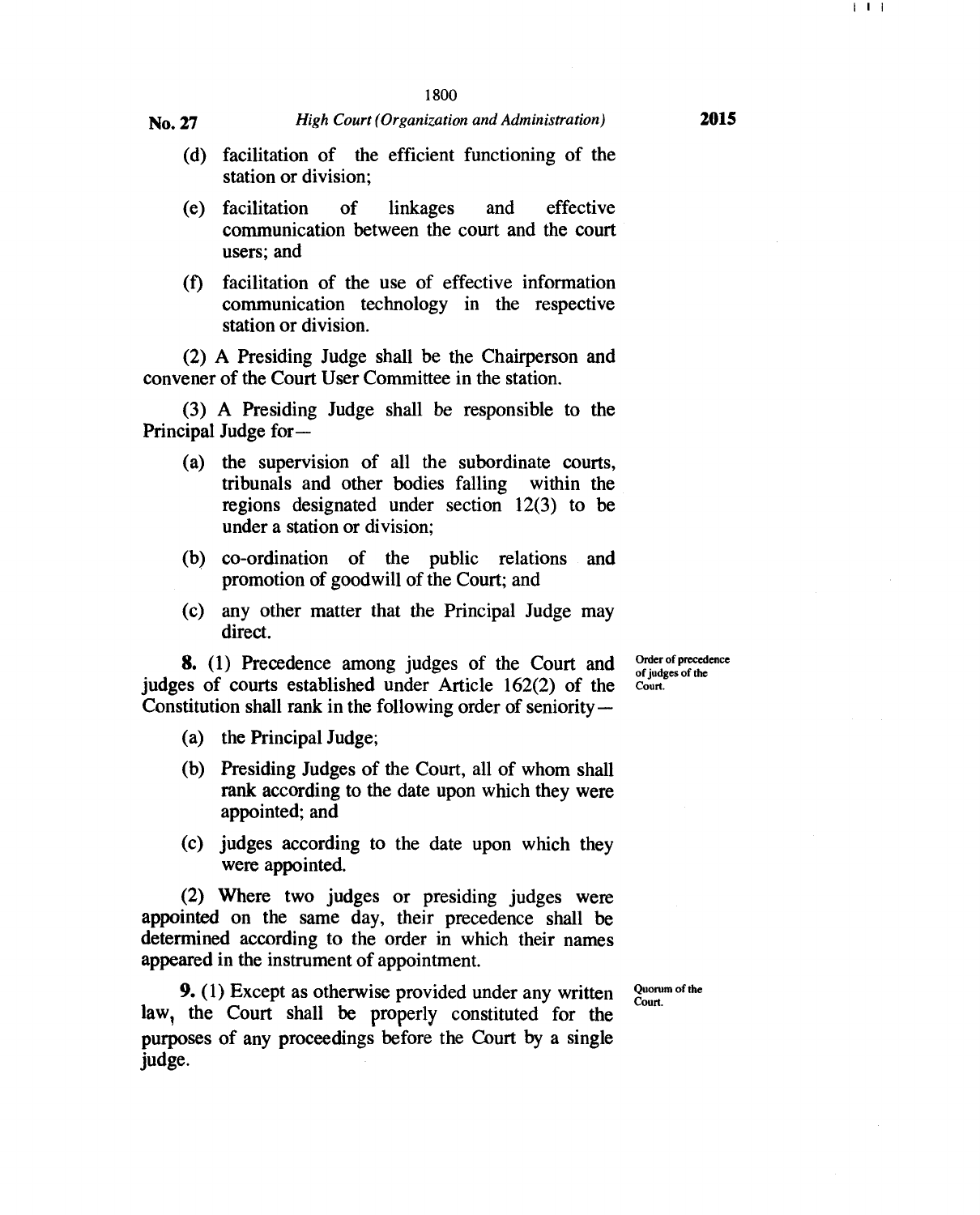- (d) facilitation of the efficient functioning of the station or division;
- (e) facilitation of linkages and effective communication between the court and the court users; and
- (f) facilitation of the use of effective information communication technology in the respective station or division.

(2) A Presiding Judge shall be the Chairperson and convener of the Court User Committee in the station.

(3) A Presiding Judge shall be responsible to the Principal Judge for —

- (a) the supervision of all the subordinate courts, tribunals and other bodies falling within the regions designated under section 12(3) to be under a station or division;
- (b) co-ordination of the public relations and promotion of goodwill of the Court; and
- (c) any other matter that the Principal Judge may direct.

**8.** (1) Precedence among judges of the Court and judges of courts established under Article 162(2) of the Constitution shall rank in the following order of seniority —

- (a) the Principal Judge;
- (b) Presiding Judges of the Court, all of whom shall rank according to the date upon which they were appointed; and
- (c) judges according to the date upon which they were appointed.

(2) Where two judges or presiding judges were appointed on the same day, their precedence shall be determined according to the order in which their names appeared in the instrument of appointment.

**9.** (1) Except as otherwise provided under any written law, the Court shall be properly constituted for the purposes of any proceedings before the Court by a single judge.

Quorum of the Court.

Order of precedence of judges of the Court.

I I I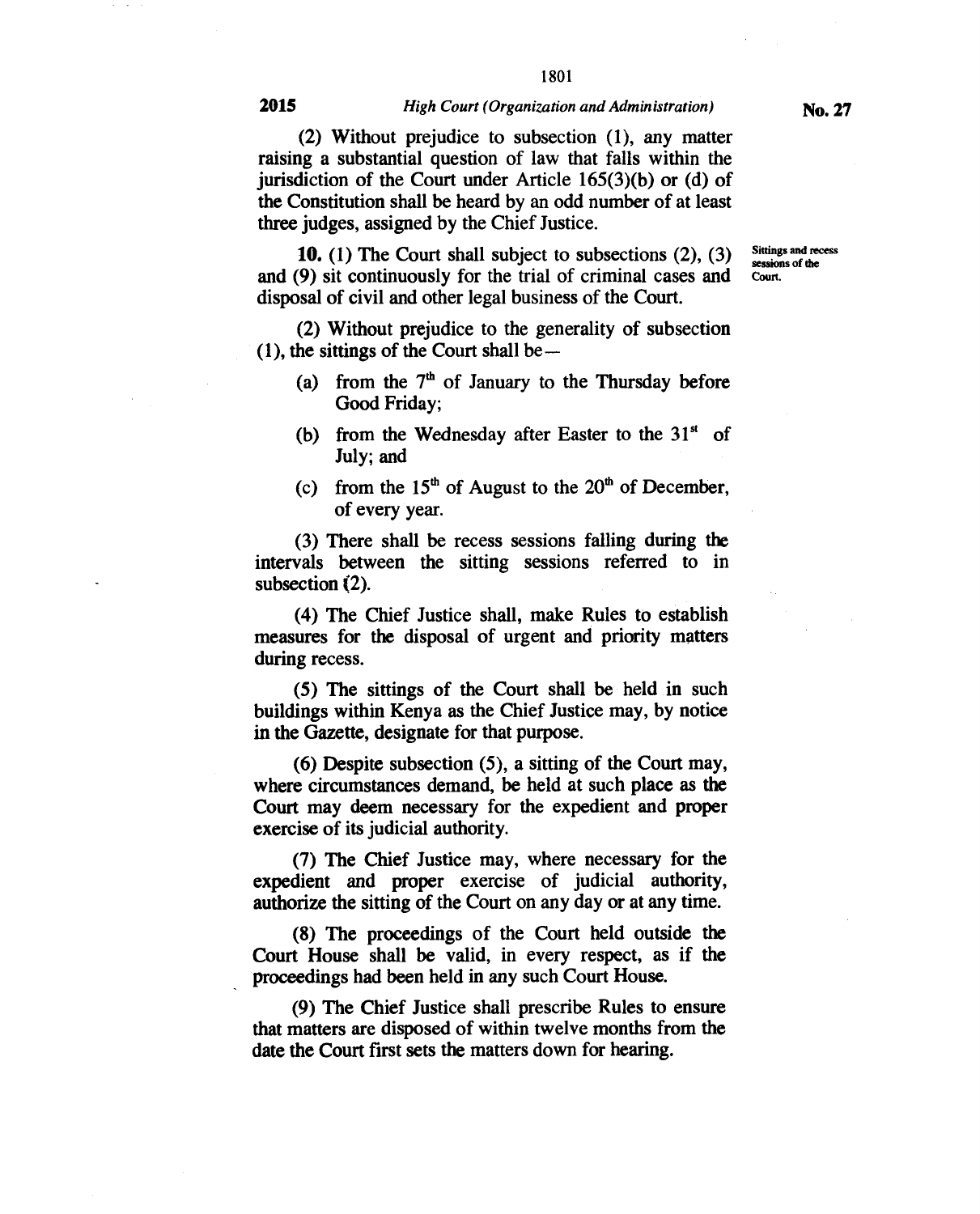**(2) Without prejudice to subsection (1), any matter raising a substantial question of law that falls within the jurisdiction of the Court under Article 165(3)(b) or (d) of the Constitution shall be heard by an odd number of at least three judges, assigned by the Chief Justice.** 

**10. (1) The Court shall subject to subsections (2), (3) and (9) sit continuously for the trial of criminal cases and disposal of civil and other legal business of the Court.** 

**(2) Without prejudice to the generality of subsection (1), the sittings of the Court shall be —** 

- **(a) from the 7th of January to the Thursday before Good Friday;**
- (b) from the Wednesday after Easter to the  $31<sup>st</sup>$  of **July; and**
- (c) **from the 15<sup>th</sup> of August to the**  $20<sup>th</sup>$  **of December, of every year.**

**(3) There shall be recess sessions falling during the intervals between the sitting sessions referred to in subsection (2).** 

**(4) The Chief Justice shall, make Rules to establish measures for the disposal of urgent and priority matters during recess.** 

**(5) The sittings of the Court shall be held in such buildings within Kenya as the Chief Justice may, by notice in the Gazette, designate for that purpose.** 

**(6) Despite subsection (5), a sitting of the Court may, where circumstances demand, be held at such place as the Court may deem necessary for the expedient and proper exercise of its judicial authority.** 

**(7) The Chief Justice may, where necessary for the expedient and proper exercise of judicial authority, authorize the sitting of the Court on any day or at any time.** 

**(8) The proceedings of the Court held outside the Court House shall be valid, in every respect, as if the proceedings had been held in any such Court House.** 

**(9) The Chief Justice shall prescribe Rules to ensure that matters are disposed of within twelve months from the date the Court first sets the matters down for hearing.** 

**Sittings and recess sessions of the Court.**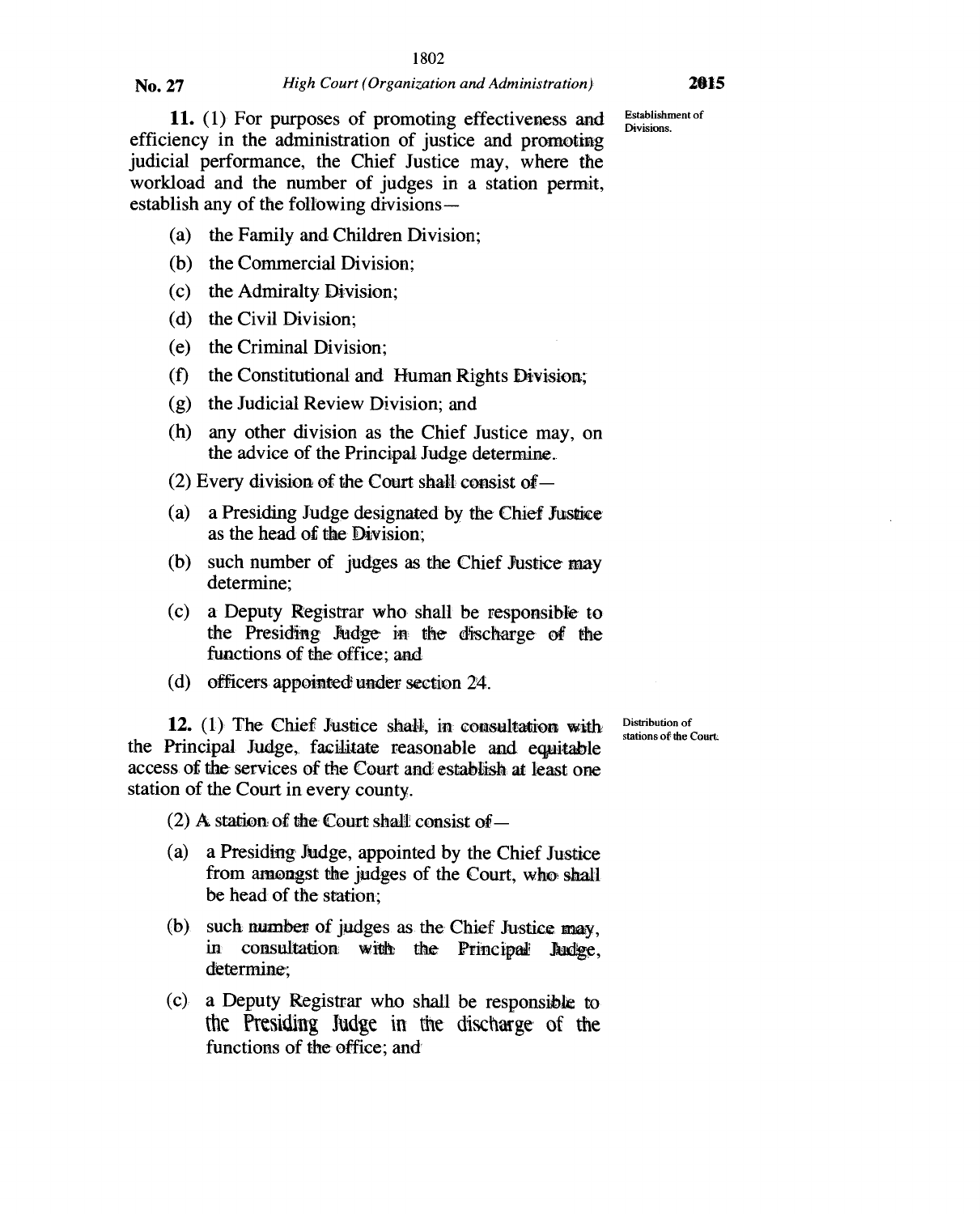Establishment of<br>Divisions.

11. (1) For purposes of promoting effectiveness and efficiency in the administration of justice and promoting judicial performance, the Chief Justice may, where the workload and the number of judges in a station permit, establish any of the following divisions —

- (a) the Family and Children Division;
- (b) the Commercial Division;
- (c) the Admiralty Division;
- (d) the Civil Division;
- (e) the Criminal Division;
- (f) the Constitutional and Human Rights Division;
- (g) the Judicial Review Division; and
- (h) any other division as the Chief Justice may, on the advice of the Principal Judge determine..
- (2) Every division of the Court shall consist of —
- (a) a Presiding Judge designated by the Chief Justice as the head of the Division;
- (b) such number of judges as the Chief Justice may determine;
- (c) a Deputy Registrar who shall be responsible to the Presiding Judge in the discharge of the functions of the office; and
- (d) officers appointed under section 24.

**12.** (1)' The Chief Justice shall, in consultation with the Principal Judge, facilitate reasonable and equitable access. of the services of the Court and establish at least one station of the Court in every county.

Distribution of stations of the Court.

(2) A station of the Court shall consist of  $-$ 

- (a) a Presiding Judge, appointed by the Chief Justice from amongst the judges of the Court, who shall be head of the station;
- (b) such number of judges as the Chief Justice may, in consultation with the Principal Judge, determine;
- (c), a Deputy Registrar who shall be responsible to the Presiding Judge in the discharge of the functions of the office; and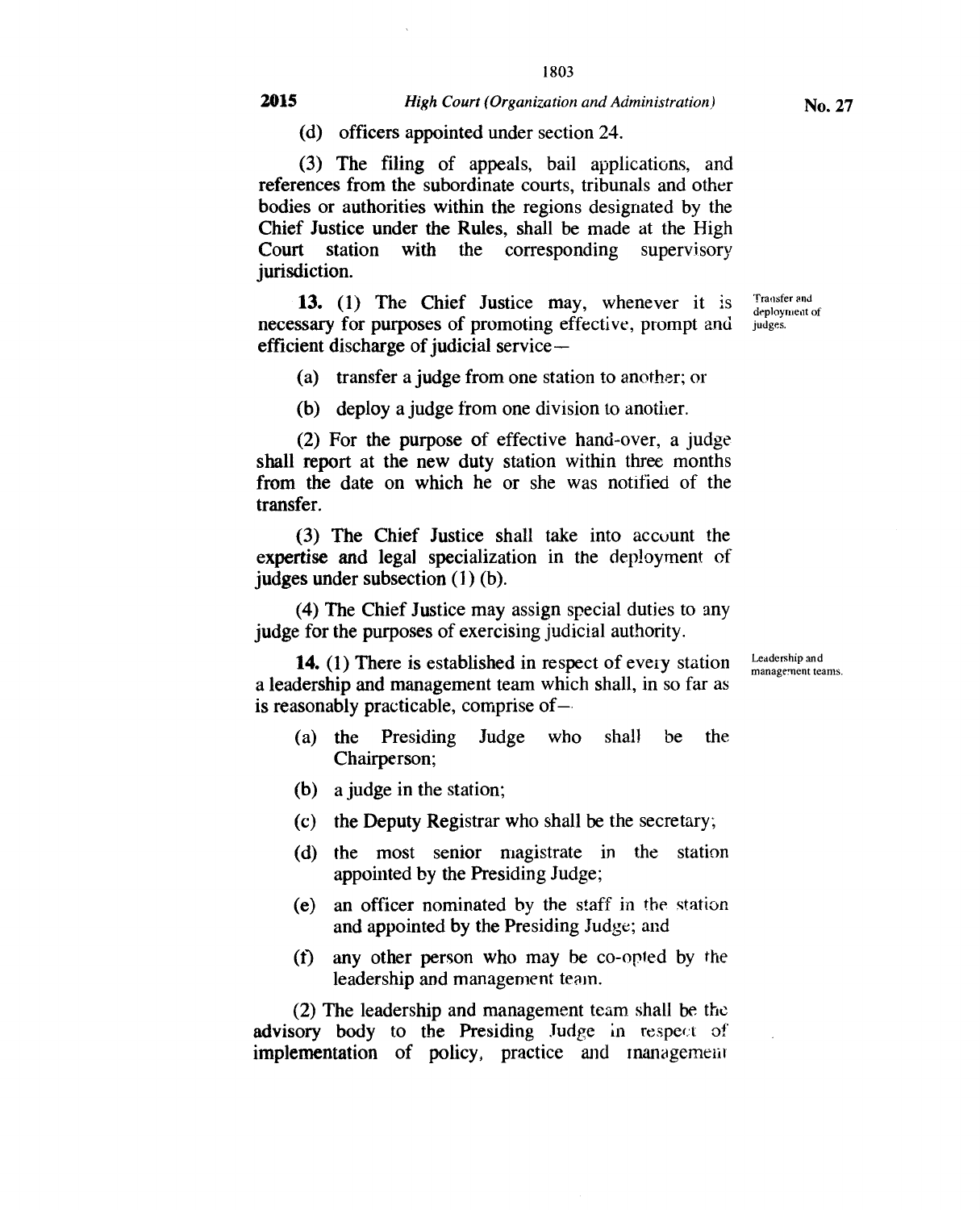(d) officers appointed under section 24.

(3) The filing of appeals, bail applications, and references from the subordinate courts, tribunals and other bodies or authorities within the regions designated by the Chief Justice under the Rules, shall be made at the High Court station with the corresponding supervisory jurisdiction.

13. (1) The Chief Justice may, whenever it is necessary for purposes of promoting effective, prompt and efficient discharge of judicial service —

(a) transfer a judge from one station to another; or

(b) deploy a judge from one division to another.

(2) For the purpose of effective hand-over, a judge shall report at the new duty station within three months from the date on which he or she was notified of the transfer.

(3) The Chief Justice shall take into account the expertise and legal specialization in **the** deployment of judges under subsection (1) (b).

(4) The Chief Justice may assign special duties to any judge for the purposes of exercising judicial authority.

**14.** (1) There is established in respect of every station a leadership and management team which shall, in so far as is reasonably practicable, comprise of—

- (a) the Presiding Judge who shall be the Chairperson;
- (b) a judge in the station;
- (c) the Deputy Registrar who shall be the secretary;
- (d) the most senior magistrate in the station appointed by the Presiding Judge;
- (e) an officer nominated by the staff in the station and appointed by the Presiding Judge; and
- (t) any other person who may be co-opted by the leadership and management team.

(2) The leadership and management team shall be the advisory body to the Presiding Judge in respect of implementation of policy, practice and management Leadership and management teams.

Transfer and deployment of judges.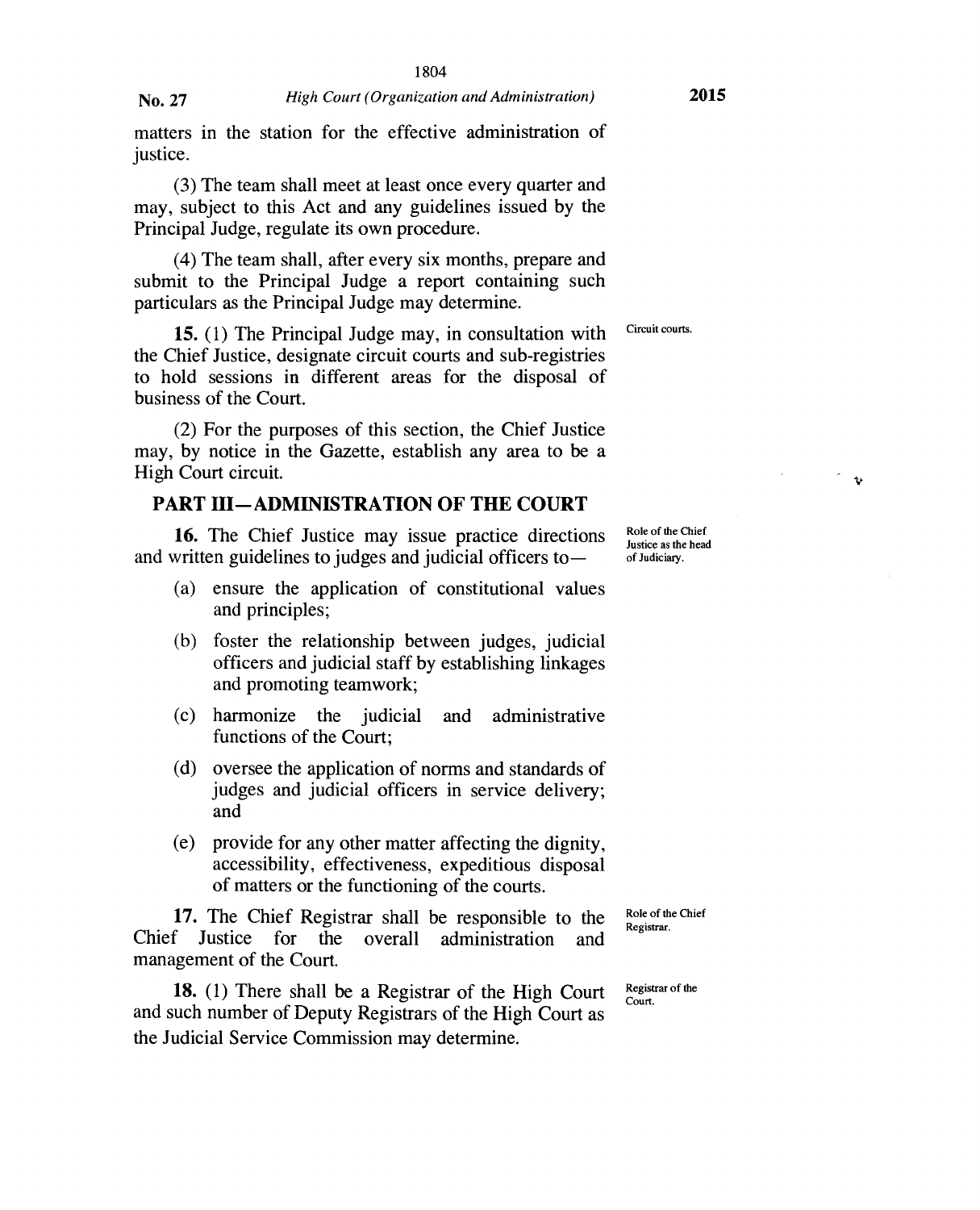matters in the station for the effective administration of justice.

(3) The team shall meet at least once every quarter and may, subject to this Act and any guidelines issued by the Principal Judge, regulate its own procedure.

(4) The team shall, after every six months, prepare and submit to the Principal Judge a report containing such particulars as the Principal Judge may determine.

**15.** (1) The Principal Judge may, in consultation with Circuit courts. the Chief Justice, designate circuit courts and sub-registries to hold sessions in different areas for the disposal of business of the Court.

(2) For the purposes of this section, the Chief Justice may, by notice in the Gazette, establish any area to be a High Court circuit.

#### **PART HI—ADMINISTRATION OF THE COURT**

**16.** The Chief Justice may issue practice directions and written guidelines to judges and judicial officers to —

- (a) ensure the application of constitutional values and principles;
- (b) foster the relationship between judges, judicial officers and judicial staff by establishing linkages and promoting teamwork;
- (c) harmonize the judicial and administrative functions of the Court;
- (d) oversee the application of norms and standards of judges and judicial officers in service delivery; and
- (e) provide for any other matter affecting the dignity, accessibility, effectiveness, expeditious disposal of matters or the functioning of the courts.

**17.** The Chief Registrar shall be responsible to the Justice for the overall administration and Chief Justice for the overall administration and management of the Court.

**18.** (1) There shall be a Registrar of the High Court and such number of Deputy Registrars of the High Court as the Judicial Service Commission may determine.

Role of the Chief Justice as the head of Judiciary.

 $\mathbf{t}$ 

Role of the Chief Registrar.

Registrar of the Court.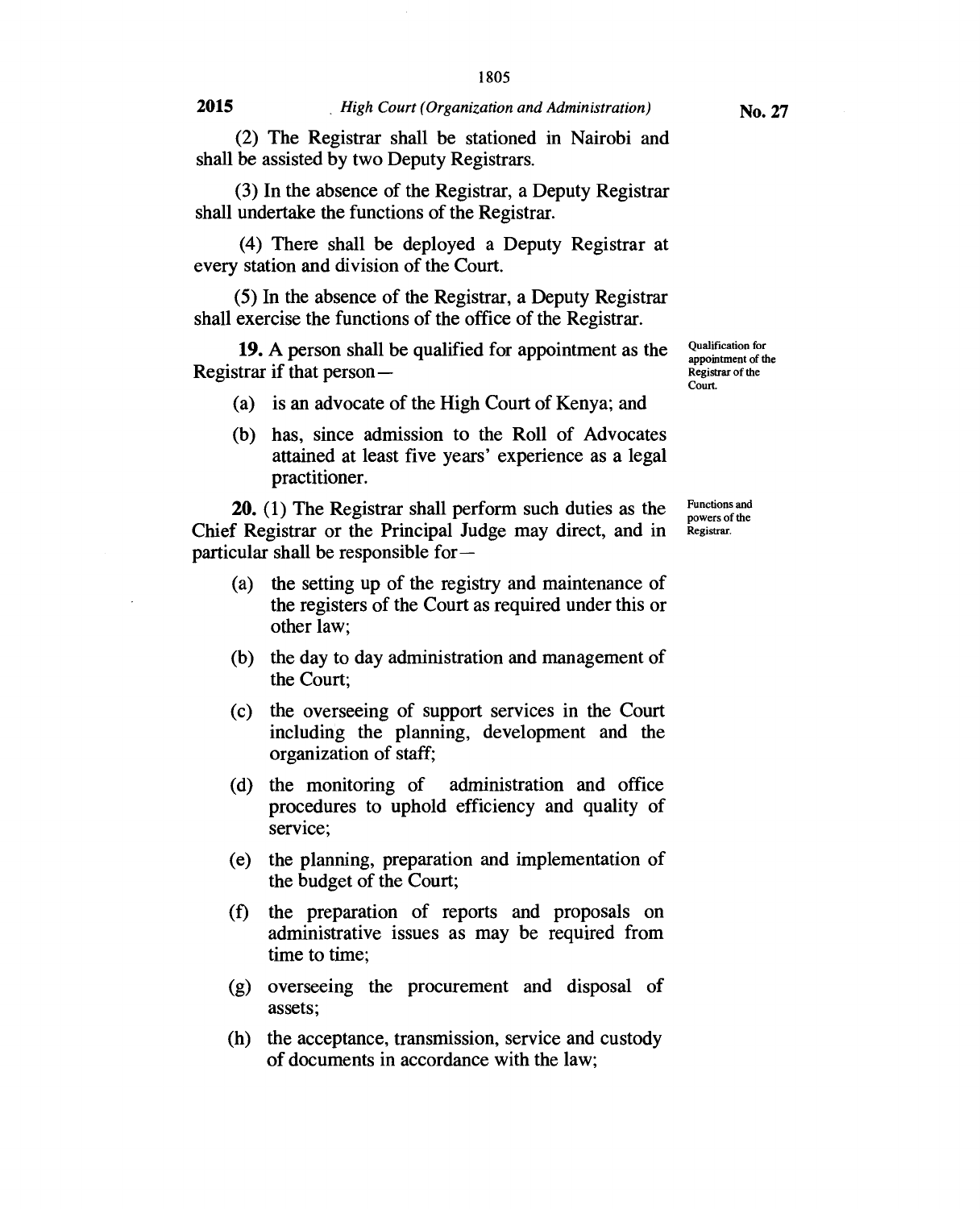(2) The Registrar shall be stationed in Nairobi and shall be assisted by two Deputy Registrars.

(3) In the absence of the Registrar, a Deputy Registrar shall undertake the functions of the Registrar.

(4) There shall be deployed a Deputy Registrar at every station and division of the Court.

(5) In the absence of the Registrar, a Deputy Registrar shall exercise the functions of the office of the Registrar.

19. A person shall be qualified for appointment as the Registrar if that person —

- (a) is an advocate of the High Court of Kenya; and
- (b) has, since admission to the Roll of Advocates attained at least five years' experience as a legal practitioner.

20. (1) The Registrar shall perform such duties as the Chief Registrar or the Principal Judge may direct, and in particular shall be responsible for —

- (a) the setting up of the registry and maintenance of the registers of the Court as required under this or other law;
- (b) the day to day administration and management of the Court;
- (c) the overseeing of support services in the Court including the planning, development and the organization of staff;
- (d) the monitoring of administration and office procedures to uphold efficiency and quality of service;
- (e) the planning, preparation and implementation of the budget of the Court;
- (f) the preparation of reports and proposals on administrative issues as may be required from time to time;
- (g) overseeing the procurement and disposal of assets;
- (h) the acceptance, transmission, service and custody of documents in accordance with the law;

Qualification for appointment of the Registrar of the Court.

Functions and powers of the Registrar.

**No. 27**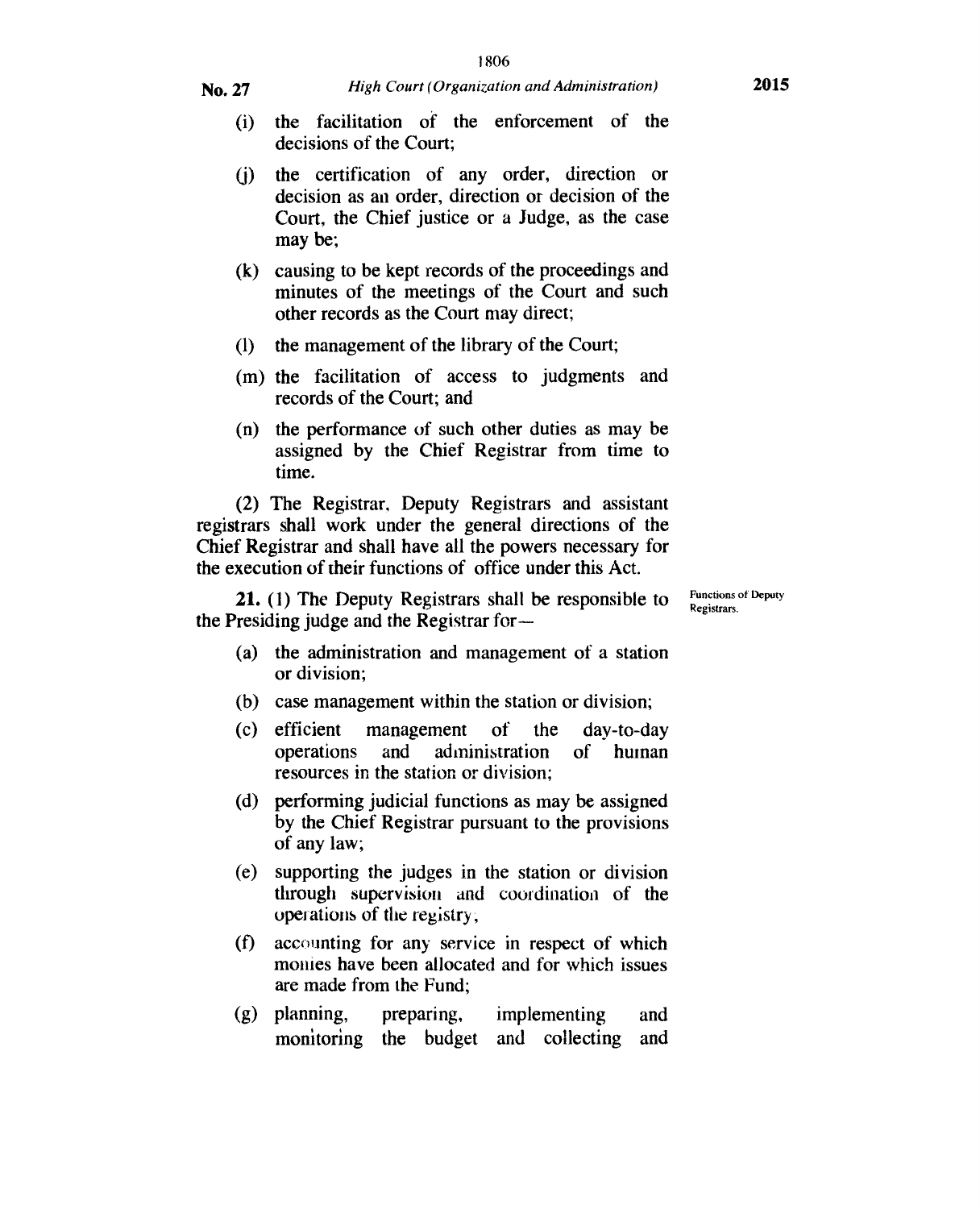- **No.** 27 *High Court (Organization and Administration)* **<sup>2015</sup>**
	- (i) the facilitation of the enforcement of the decisions of the Court;
	- (j) the certification of any order, direction or decision as an order, direction or decision of the Court, the Chief justice or a Judge, as the case may be;
	- (k) causing to be kept records of the proceedings and minutes of the meetings of the Court and such other records as the Court may direct;
	- (1) the management of the library of the Court;
	- (m) the facilitation of access to judgments and records of the Court; and
	- (n) the performance of such other duties as may be assigned by the Chief Registrar from time to time.

(2) The Registrar, Deputy Registrars and assistant registrars shall work under the general directions of the Chief Registrar and shall have all the powers necessary for the execution of their functions of office under this Act.

21. (1) The Deputy Registrars shall be responsible to the Presiding judge and the Registrar forFunctions of Deputy<br>Registrars.

- (a) the administration and management of a station or division;
- (b) case management within the station or division;
- (c) efficient management of the day-to-day operations and administration of human resources in the station or division;
- (d) performing judicial functions as may be assigned by the Chief Registrar pursuant to the provisions of any law;
- (e) supporting the judges in the station or division through supervision and coordination of the operations of the registry ,
- $(f)$  accounting for any service in respect of which monies have been allocated and for which issues are made from the Fund;
- (g) planning, preparing, implementing and monitoring the budget and collecting and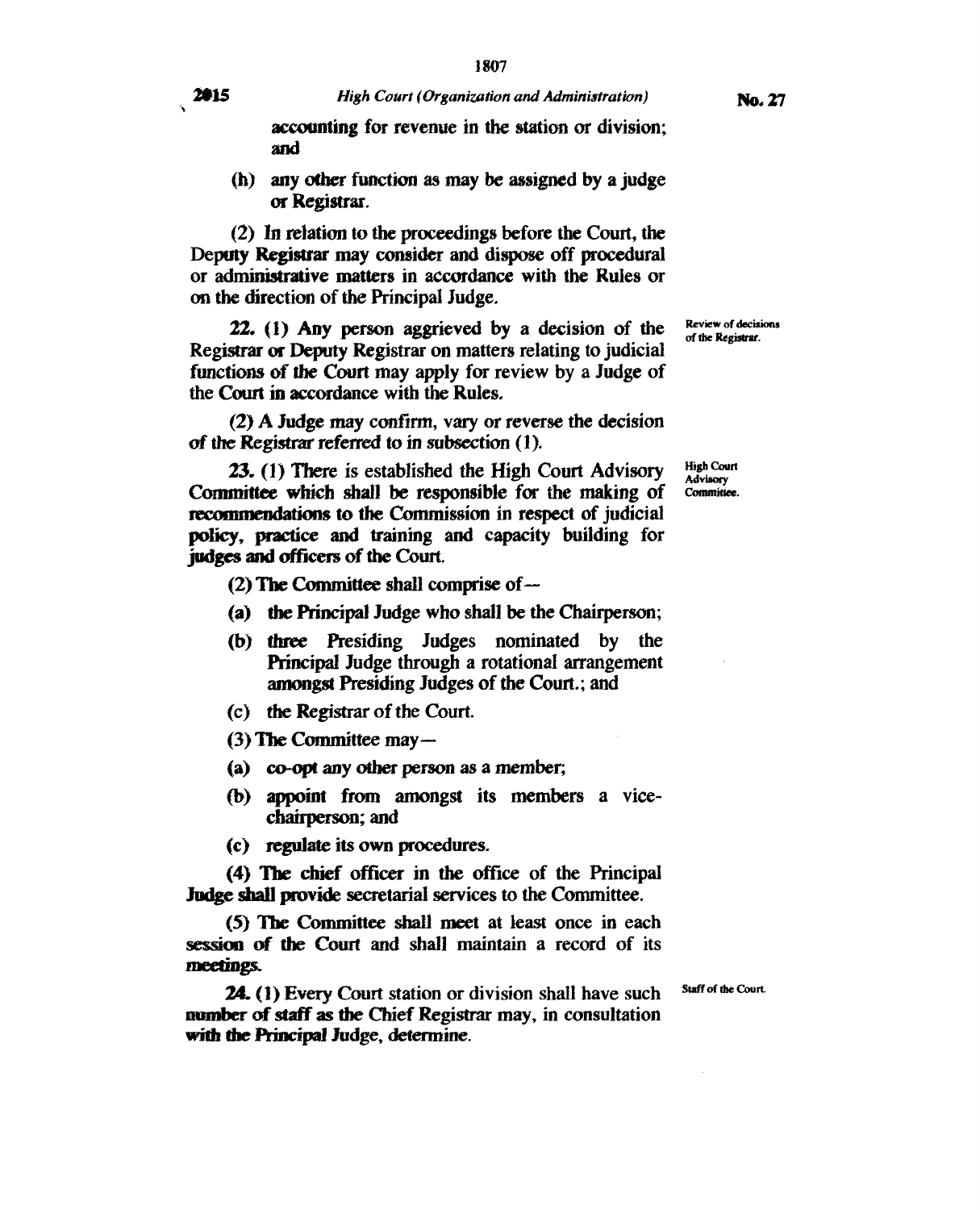2015

**accounting for revenue in the station or division; and** 

**(h) any other function as** *may be* **assigned by a judge or Registrar.** 

**(2) In relation to the proceedings before the Court, the Deputy Registrar may consider and dispose off procedural or administrative matters in accordance with the Rules or on the direction of the Principal Judge.** 

**22. (1) Any person aggrieved by a decision of the Registrar or Deputy Registrar on matters relating to judicial functions of** *the Court* **may apply for review by a Judge of the Court in accordance with the Rules.** 

**(2) A Judge may confirm, vary or reverse the decision of the Registrar referred to in** *subsection (1).* 

**23. (1) There is established the High Court Advisory Committee which shall be responsible for the making of recommendations to the Commission in respect of judicial policy, practice and training and capacity building for judges and officers of the Court.** 

(2) **The Committee shall comprise of —** 

- **(a) the Principal Judge who shall be the Chairperson;**
- **(b) three Presiding Judges nominated by the Principal Judge through a rotational arrangement amongst Presiding Judges of the Court.; and**
- **(c) the Registrar of the Court.**
- (3) **The Committee may**
- **(a) co-opt any other** *person* **as a member;**
- **(b) appoint from amongst its members a vicechairperson; and**
- **(c) regulate its own procedures.**

**(4) The chief officer in the office of the Principal Judge shall provide secretarial services to the Committee.** 

**(5) The Committee shall meet at least once in each session of the Court and shall maintain a record of its meetings.** 

**24. (1) Every Court station or division shall have such number of staff as** *the* **Chief Registrar may, in consultation with the Principal Judge, determine.** 

**Staff of the Court.** 

**Review of decisions of the Registrar.** 

**High Court Advisory Committee.**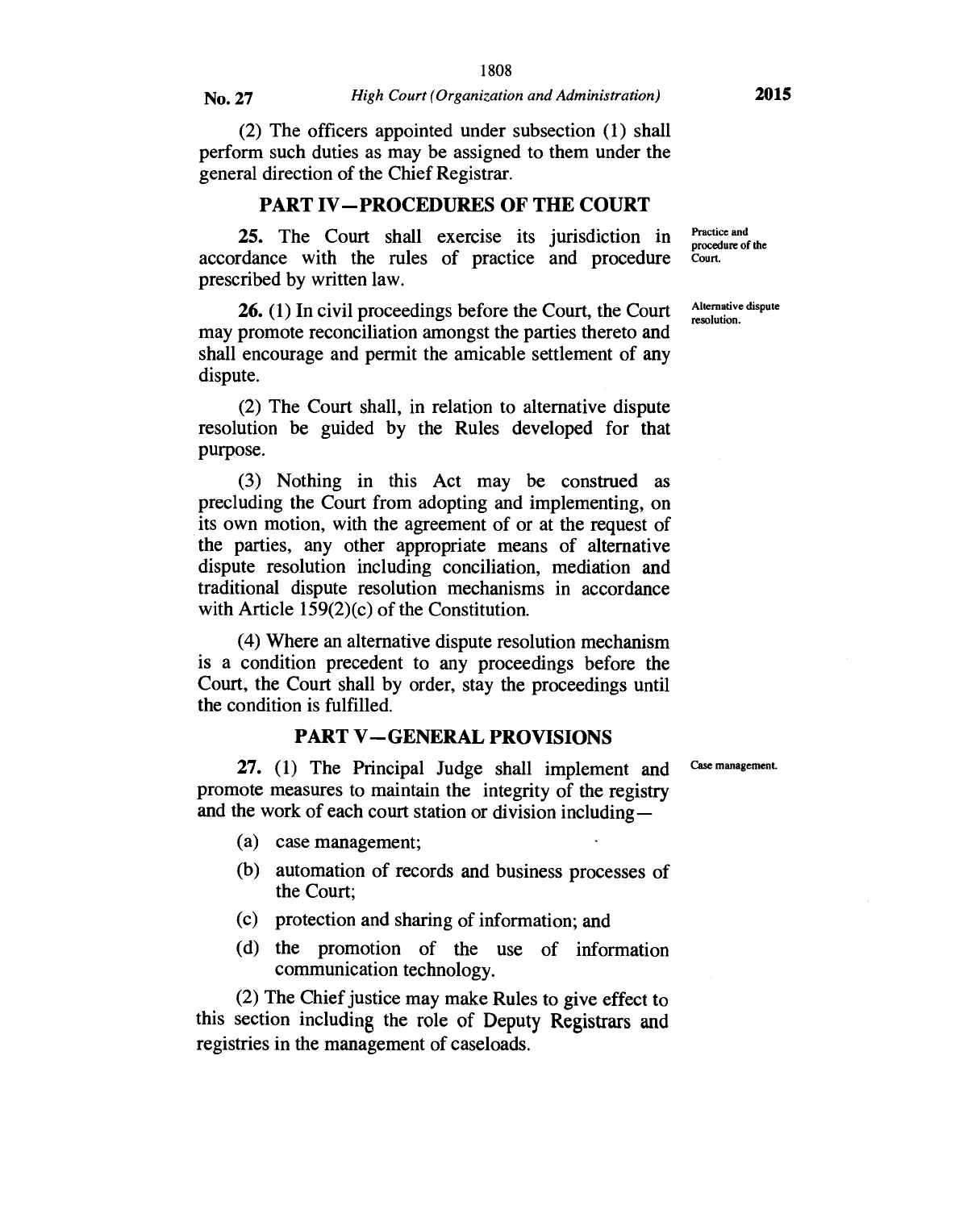(2) The officers appointed under subsection (1) shall perform such duties as may be assigned to them under the general direction of the Chief Registrar.

#### **PART IV—PROCEDURES OF THE COURT**

**25.** The Court shall exercise its jurisdiction in accordance with the rules of practice and procedure prescribed by written law.

**26.** (1) In civil proceedings before the Court, the Court may promote reconciliation amongst the parties thereto and shall encourage and permit the amicable settlement of any dispute.

(2) The Court shall, in relation to alternative dispute resolution be guided by the Rules developed for that purpose.

(3) Nothing in this Act may be construed as precluding the Court from adopting and implementing, on its own motion, with the agreement of or at the request of the parties, any other appropriate means of alternative dispute resolution including conciliation, mediation and traditional dispute resolution mechanisms in accordance with Article 159(2)(c) of the Constitution.

(4) Where an alternative dispute resolution mechanism is a condition precedent to any proceedings before the Court, the Court shall by order, stay the proceedings until the condition is fulfilled.

#### **PART V—GENERAL PROVISIONS**

**27.** (1) The Principal Judge shall implement and promote measures to maintain the integrity of the registry and the work of each court station or division including —

- (a) case management;
- (b) automation of records and business processes of the Court;
- (c) protection and sharing of information; and
- (d) the promotion of the use of information communication technology.

(2) The Chief justice may make Rules to give effect to this section including the role of Deputy Registrars and registries in the management of caseloads.

Practice and procedure of the Court.

Alternative dispute resolution.

Case management.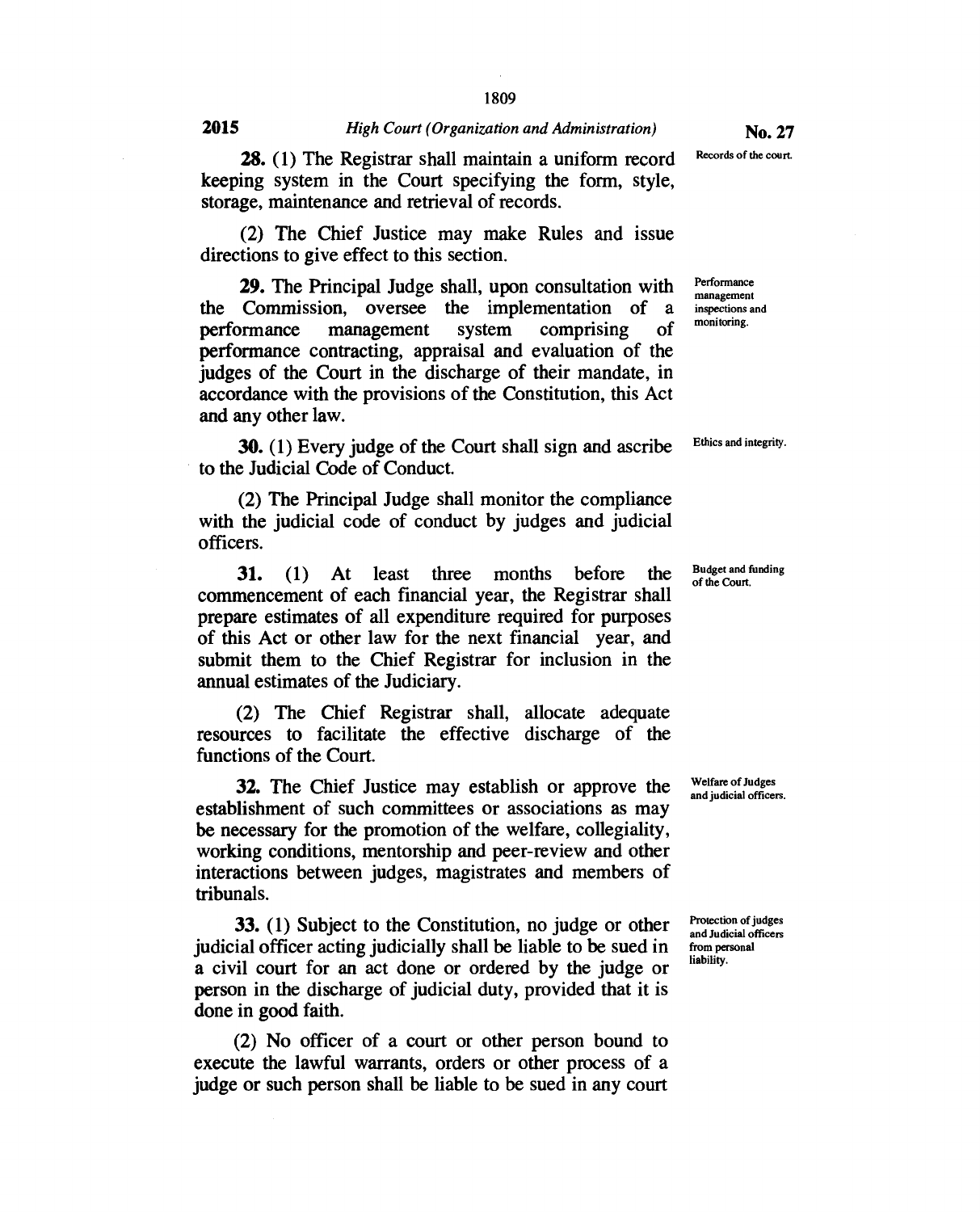28. (1) The Registrar shall maintain a uniform record keeping system in the Court specifying the form, style, storage, maintenance and retrieval of records.

(2) The Chief Justice may make Rules and issue directions to give effect to this section.

29. The Principal Judge shall, upon consultation with the Commission, oversee the implementation of a performance management system comprising of performance contracting, appraisal and evaluation of the judges of the Court in the discharge of their mandate, in accordance with the provisions of the Constitution, this Act and any other law.

30. (1) Every judge of the Court shall sign and ascribe to the Judicial Code of Conduct.

(2) The Principal Judge shall monitor the compliance with the judicial code of conduct by judges and judicial officers.

31. (1) At least three months before the commencement of each financial year, the Registrar shall prepare estimates of all expenditure required for purposes of this Act or other law for the next financial year, and submit them to the Chief Registrar for inclusion in the annual estimates of the Judiciary.

(2) The Chief Registrar shall, allocate adequate resources to facilitate the effective discharge of the functions of the Court.

32. The Chief Justice may establish or approve the establishment of such committees or associations as may be necessary for the promotion of the welfare, collegiality, working conditions, mentorship and peer-review and other interactions between judges, magistrates and members of tribunals.

33. (1) Subject to the Constitution, no judge or other judicial officer acting judicially shall be liable to be sued in a civil court for an act done or ordered by the judge or person in the discharge of judicial duty, provided that it is done in good faith.

(2) No officer of a court or other person bound to execute the lawful warrants, orders or other process of a judge or such person shall be liable to be sued in any court Records of the court

Performance management inspections and monitoring.

Ethics and integrity.

Budget and funding of the Court.

Welfare of Judges and judicial officers.

Protection of judges and Judicial officers from personal liability.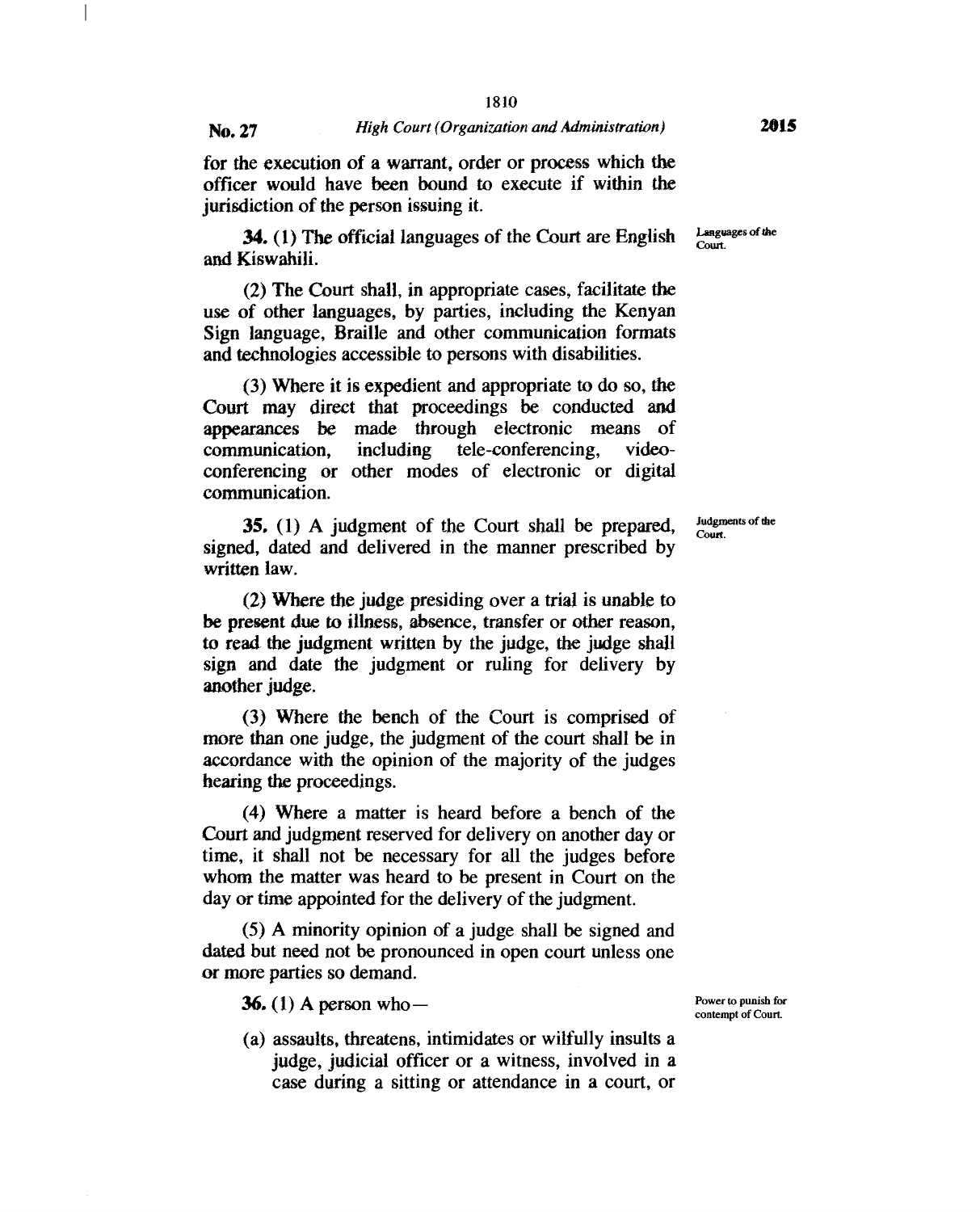1

#### **No. 27** *High Court (Organization and Administration)*

for the execution of a warrant, order or process which the officer would have been bound to execute if within the jurisdiction of the person issuing it.

**34.** (1) The official languages of the Court are English and Kiswahili.

(2) The Court shall, in appropriate cases, facilitate the use of other languages, by parties, including the Kenyan Sign language, Braille and other communication formats and technologies accessible to persons with disabilities.

(3) Where it is expedient and appropriate to do so, the Court may direct that proceedings be conducted and appearances be made through electronic means of communication, including tele-conferencing, videoconferencing or other modes of electronic or digital communication.

**35. (1)** A judgment of the Court shall be prepared, signed, dated and delivered in the manner prescribed by written law.

(2) Where the judge presiding over a trial is unable to be present due to illness, absence, transfer or other reason, to read the judgment written by the judge, the judge shall sign and date the judgment or ruling for delivery by another judge.

(3) Where the bench of the Court is comprised of more than one judge, the judgment of the court shall be in accordance with the opinion of the majority of the judges hearing the proceedings.

(4) Where a matter is heard before a bench of the Court and judgment reserved for delivery on another day or time, it shall not be necessary for all the judges before whom the matter was heard to be present in Court on the day or time appointed for the delivery of the judgment.

(5) A minority opinion of a judge shall be signed and dated but need not be pronounced in open court unless one or more parties so demand.

**36. (1) A** person who —

(a) assaults, threatens, intimidates or wilfully insults a judge, judicial officer or a witness, involved in a case during a sitting or attendance in a court, or

Power to punish for contempt of Court.

Judgments of die Court.

Languages of the Court.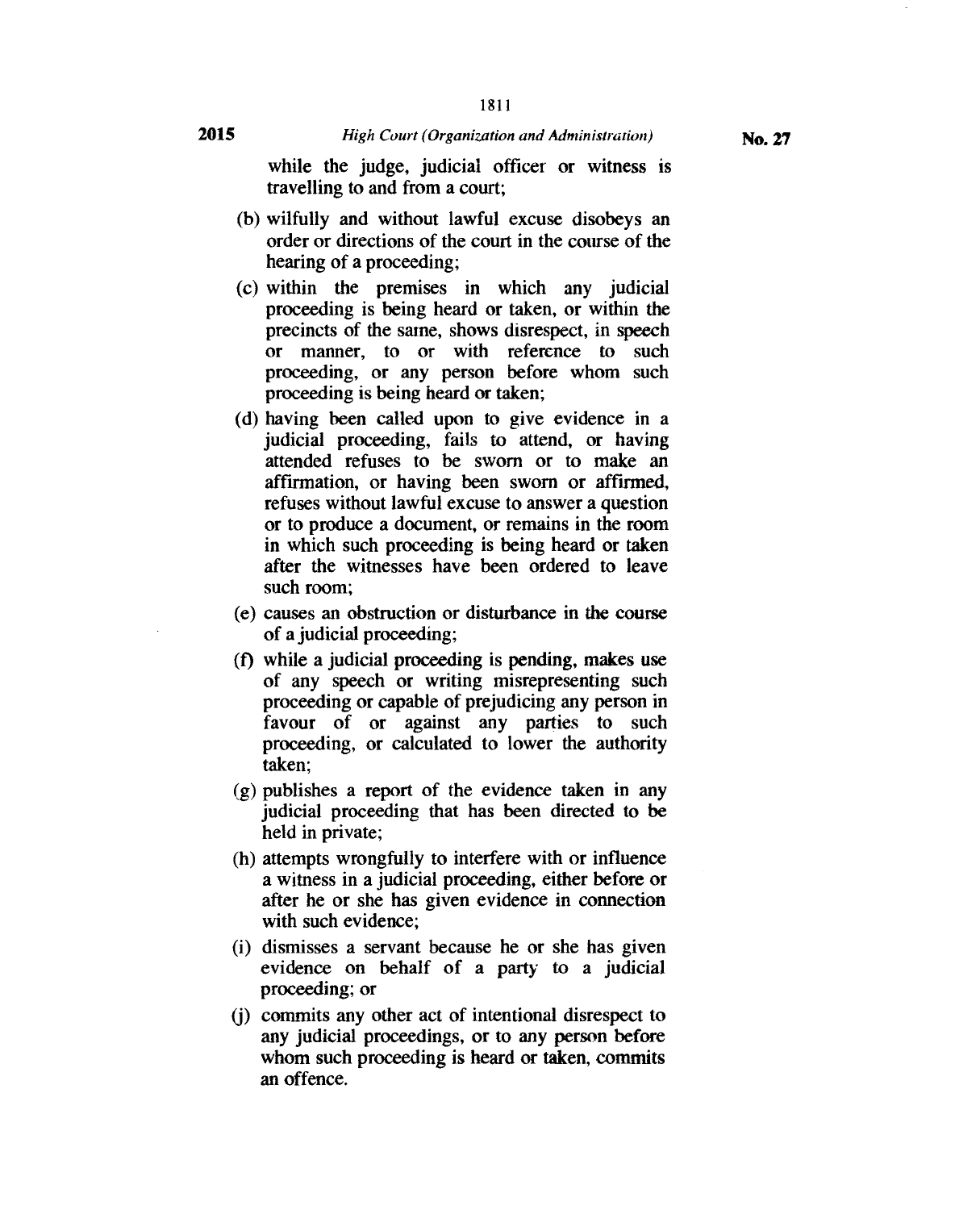while the judge, judicial officer or witness is travelling to and from a court;

- (b) wilfully and without lawful excuse disobeys an order or directions of the court in the course of the hearing of a proceeding;
- (c) within the premises in which any judicial proceeding is being heard or taken, or within the precincts of the same, shows disrespect, in speech or manner, to or with reference to such proceeding, or any person before whom such proceeding is being heard or taken;
- (d) having been called upon to give evidence in a judicial proceeding, fails to attend, or having attended refuses to be sworn or to make an affirmation, or having been sworn or affirmed, refuses without lawful excuse to answer a question or to produce a document, or remains in the room in which such proceeding is being heard or taken after the witnesses have been ordered to leave such room;
- (e) causes an obstruction or disturbance in the course of a judicial proceeding;
- (f) while a judicial proceeding is pending, makes use of any speech or writing misrepresenting such proceeding or capable of prejudicing any person in favour of or against any parties to such proceeding, or calculated to lower the authority taken;
- (g) publishes a report of the evidence taken in any judicial proceeding that has been directed to be held in private;
- (h) attempts wrongfully to interfere with or influence a witness in a judicial proceeding, either before or after he or she has given evidence in connection with such evidence;
- (i) dismisses a servant because he or she has given evidence on behalf of a party to a judicial proceeding; or
- (j) commits any other act of intentional disrespect to any judicial proceedings, or to any person before whom such proceeding is heard or taken, commits an offence.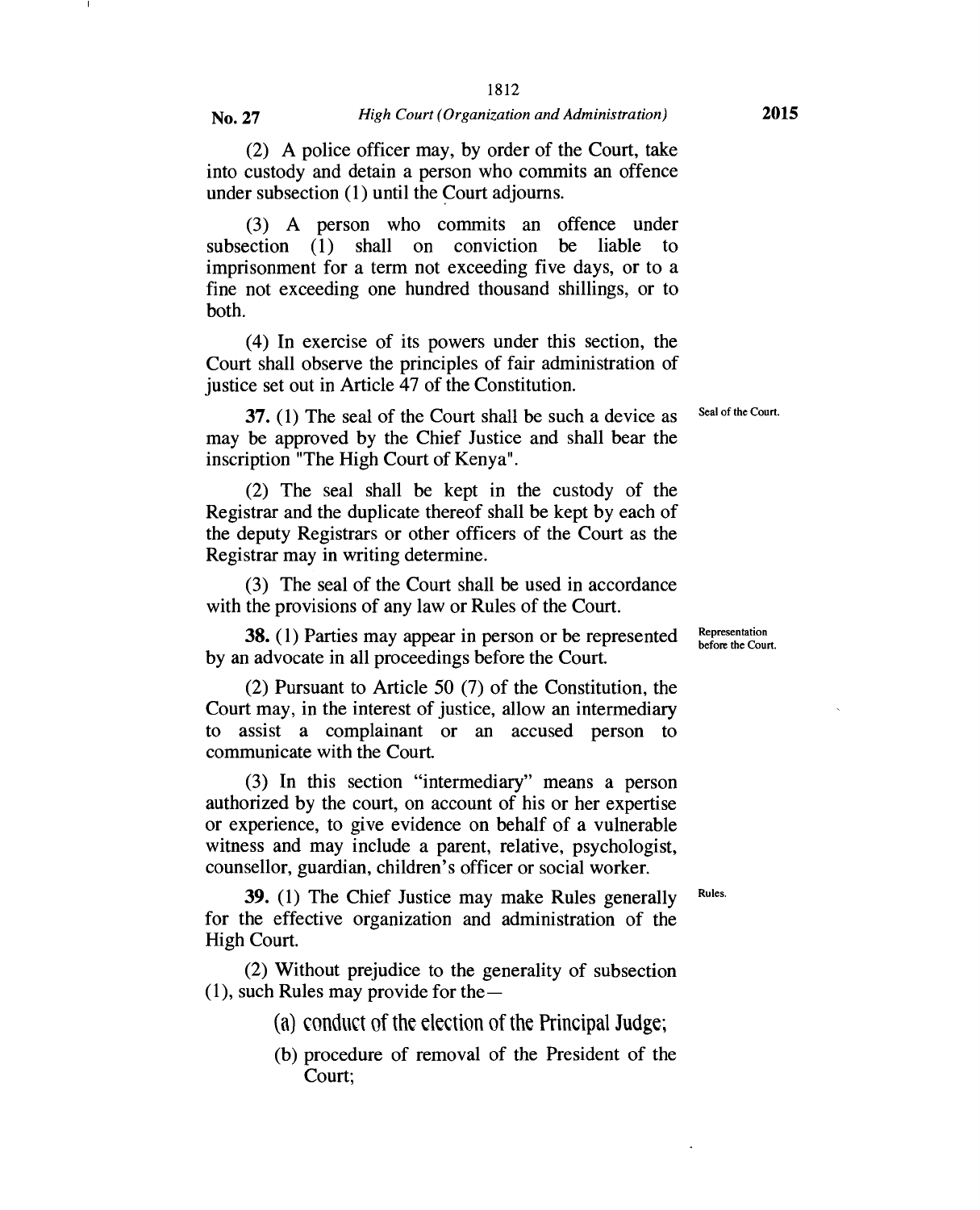(2) A police officer may, by order of the Court, take into custody and detain a person who commits an offence under subsection (1) until the Court adjourns.

(3) A person who commits an offence under subsection (1) shall on conviction be liable to imprisonment for a term not exceeding five days, or to a fine not exceeding one hundred thousand shillings, or to both.

(4) In exercise of its powers under this section, the Court shall observe the principles of fair administration of justice set out in Article 47 of the Constitution.

**37.** (1) The seal of the Court shall be such a device as may be approved by the Chief Justice and shall bear the inscription "The High Court of Kenya".

(2) The seal shall be kept in the custody of the Registrar and the duplicate thereof shall be kept by each of the deputy Registrars or other officers of the Court as the Registrar may in writing determine.

(3) The seal of the Court shall be used in accordance with the provisions of any law or Rules of the Court.

**38. (1)** Parties may appear in person or be represented by an advocate in all proceedings before the Court.

(2) Pursuant to Article 50 (7) of the Constitution, the Court may, in the interest of justice, allow an intermediary to assist a complainant or an accused person to communicate with the Court.

(3) In this section "intermediary" means a person authorized by the court, on account of his or her expertise or experience, to give evidence on behalf of a vulnerable witness and may include a parent, relative, psychologist, counsellor, guardian, children's officer or social worker.

**39.** (1) The Chief Justice may make Rules generally for the effective organization and administration of the High Court.

(2) Without prejudice to the generality of subsection  $(1)$ , such Rules may provide for the —

- (a) conduct of the election of the Principal Judge;
- (b) procedure of removal of the President of the Court;

Representation before the Court.

Seal of the Court.

Rules.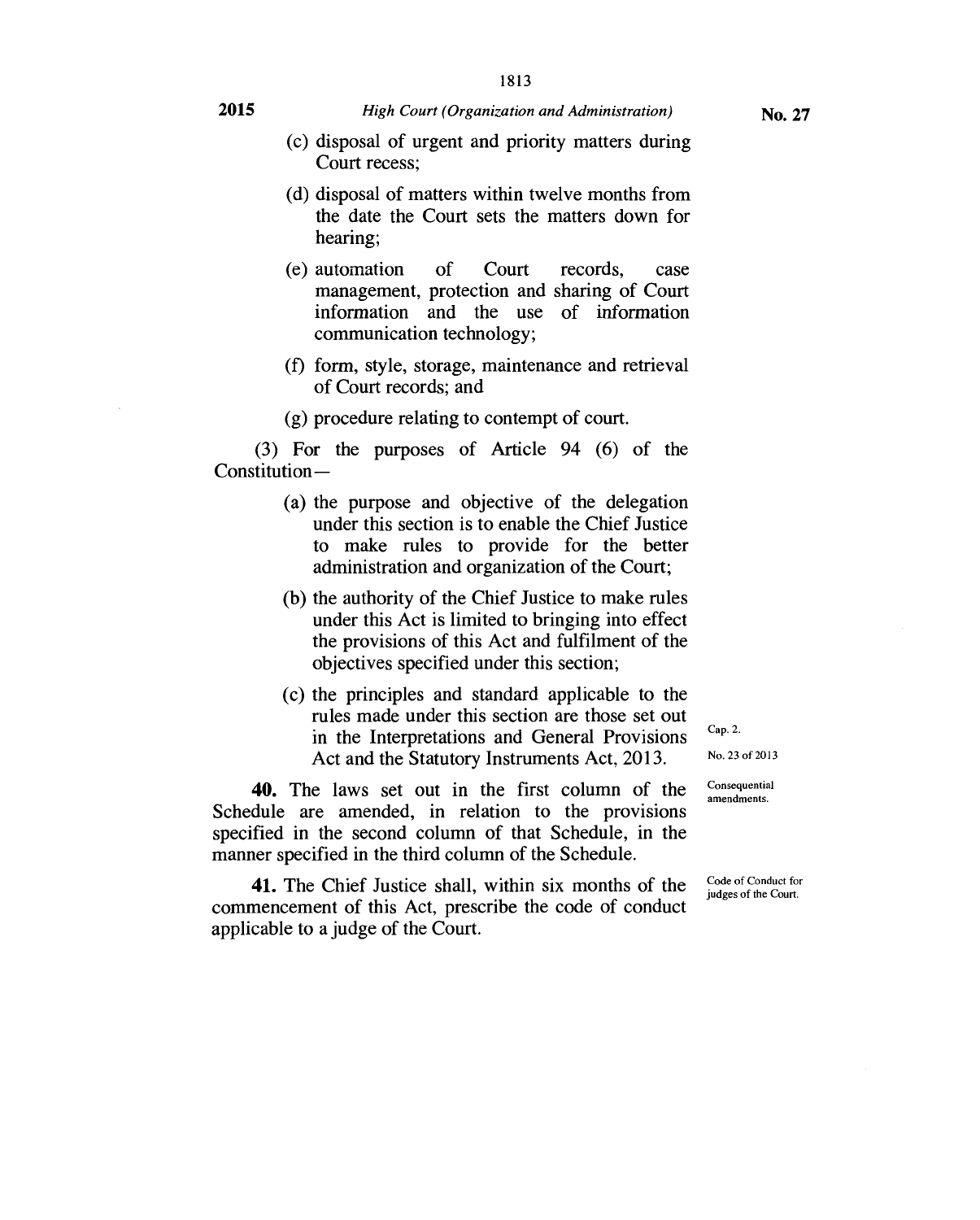- (c) disposal of urgent and priority matters during Court recess;
- (d) disposal of matters within twelve months from the date the Court sets the matters down for hearing;
- (e) automation of Court records, case management, protection and sharing of Court information and the use of information communication technology;
- (f) form, style, storage, maintenance and retrieval of Court records; and
- (g) procedure relating to contempt of court.

(3) For the purposes of Article 94 (6) of the Constitution —

- (a) the purpose and objective of the delegation under this section is to enable the Chief Justice to make rules to provide for the better administration and organization of the Court;
- (b) the authority of the Chief Justice to make rules under this Act is limited to bringing into effect the provisions of this Act and fulfilment of the objectives specified under this section;
- (c) the principles and standard applicable to the rules made under this section are those set out in the Interpretations and General Provisions Act and the Statutory Instruments Act, 2013.

40. The laws set out in the first column of the Schedule are amended, in relation to the provisions specified in the second column of that Schedule, in the manner specified in the third column of the Schedule.

41. The Chief Justice shall, within six months of the commencement of this Act, prescribe the code of conduct applicable to a judge of the Court.

Cap. 2. No. 23 of 2013

Consequential amendments.

Code of Conduct for judges of the Court.